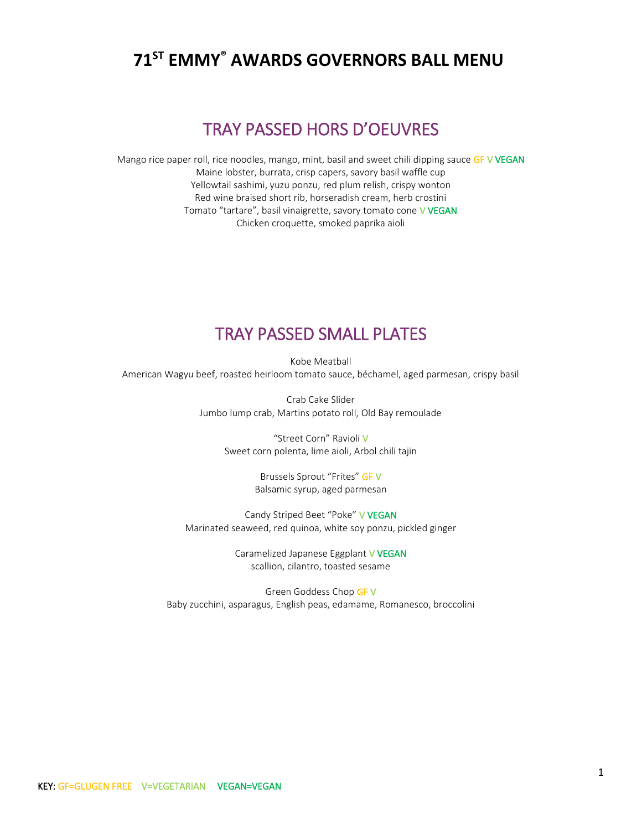# **<sup>71</sup>ST EMMY® AWARDS GOVERNORS BALL MENU**

# TRAY PASSED HORS D'OEUVRES

Mango rice paper roll, rice noodles, mango, mint, basil and sweet chili dipping sauce GF V VEGAN Maine lobster, burrata, crisp capers, savory basil waffle cup Yellowtail sashimi, yuzu ponzu, red plum relish, crispy wonton Red wine braised short rib, horseradish cream, herb crostini Tomato "tartare", basil vinaigrette, savory tomato cone V VEGAN Chicken croquette, smoked paprika aioli

### TRAY PASSED SMALL PLATES

Kobe Meatball American Wagyu beef, roasted heirloom tomato sauce, béchamel, aged parmesan, crispy basil

> Crab Cake Slider Jumbo lump crab, Martins potato roll, Old Bay remoulade

> > "Street Corn" Ravioli V Sweet corn polenta, lime aioli, Arbol chili tajin

> > > Brussels Sprout "Frites" GF V Balsamic syrup, aged parmesan

Candy Striped Beet "Poke" V VEGAN Marinated seaweed, red quinoa, white soy ponzu, pickled ginger

> Caramelized Japanese Eggplant V VEGAN scallion, cilantro, toasted sesame

Green Goddess Chop GF V Baby zucchini, asparagus, English peas, edamame, Romanesco, broccolini